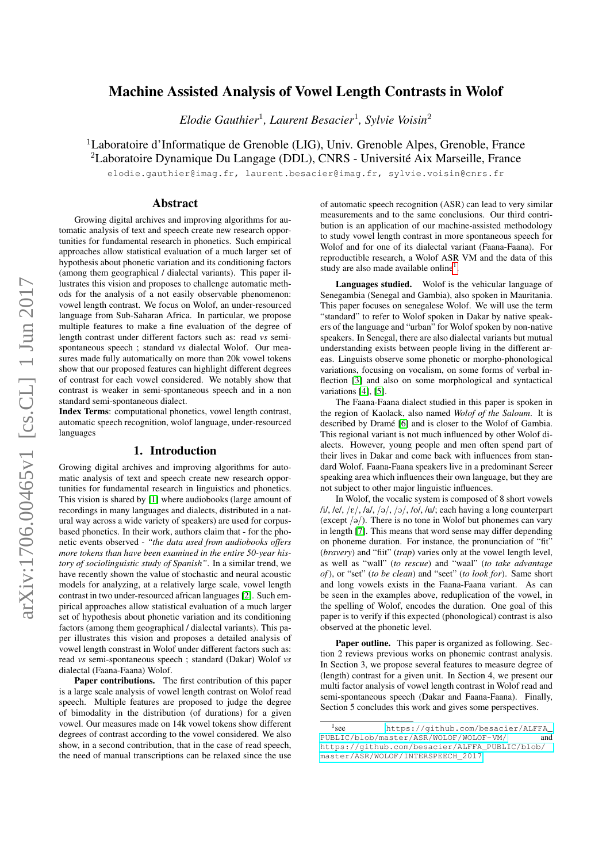# $arXiv:1706.00465v1$  [cs.CL] 1 Jun 2017 arXiv:1706.00465v1 [cs.CL] 1 Jun 2017

# Machine Assisted Analysis of Vowel Length Contrasts in Wolof

*Elodie Gauthier*<sup>1</sup> *, Laurent Besacier*<sup>1</sup> *, Sylvie Voisin*<sup>2</sup>

<sup>1</sup>Laboratoire d'Informatique de Grenoble (LIG), Univ. Grenoble Alpes, Grenoble, France

<sup>2</sup>Laboratoire Dynamique Du Langage (DDL), CNRS - Universite Aix Marseille, France ´

elodie.gauthier@imag.fr, laurent.besacier@imag.fr, sylvie.voisin@cnrs.fr

# Abstract

Growing digital archives and improving algorithms for automatic analysis of text and speech create new research opportunities for fundamental research in phonetics. Such empirical approaches allow statistical evaluation of a much larger set of hypothesis about phonetic variation and its conditioning factors (among them geographical / dialectal variants). This paper illustrates this vision and proposes to challenge automatic methods for the analysis of a not easily observable phenomenon: vowel length contrast. We focus on Wolof, an under-resourced language from Sub-Saharan Africa. In particular, we propose multiple features to make a fine evaluation of the degree of length contrast under different factors such as: read *vs* semispontaneous speech ; standard *vs* dialectal Wolof. Our measures made fully automatically on more than 20k vowel tokens show that our proposed features can highlight different degrees of contrast for each vowel considered. We notably show that contrast is weaker in semi-spontaneous speech and in a non standard semi-spontaneous dialect.

Index Terms: computational phonetics, vowel length contrast, automatic speech recognition, wolof language, under-resourced languages

# 1. Introduction

Growing digital archives and improving algorithms for automatic analysis of text and speech create new research opportunities for fundamental research in linguistics and phonetics. This vision is shared by [\[1\]](#page-4-0) where audiobooks (large amount of recordings in many languages and dialects, distributed in a natural way across a wide variety of speakers) are used for corpusbased phonetics. In their work, authors claim that - for the phonetic events observed - *"the data used from audiobooks offers more tokens than have been examined in the entire 50-year history of sociolinguistic study of Spanish"*. In a similar trend, we have recently shown the value of stochastic and neural acoustic models for analyzing, at a relatively large scale, vowel length contrast in two under-resourced african languages [\[2\]](#page-4-1). Such empirical approaches allow statistical evaluation of a much larger set of hypothesis about phonetic variation and its conditioning factors (among them geographical / dialectal variants). This paper illustrates this vision and proposes a detailed analysis of vowel length constrast in Wolof under different factors such as: read *vs* semi-spontaneous speech ; standard (Dakar) Wolof *vs* dialectal (Faana-Faana) Wolof.

Paper contributions. The first contribution of this paper is a large scale analysis of vowel length contrast on Wolof read speech. Multiple features are proposed to judge the degree of bimodality in the distribution (of durations) for a given vowel. Our measures made on 14k vowel tokens show different degrees of contrast according to the vowel considered. We also show, in a second contribution, that in the case of read speech, the need of manual transcriptions can be relaxed since the use of automatic speech recognition (ASR) can lead to very similar measurements and to the same conclusions. Our third contribution is an application of our machine-assisted methodology to study vowel length contrast in more spontaneous speech for Wolof and for one of its dialectal variant (Faana-Faana). For reproductible research, a Wolof ASR VM and the data of this study are also made available online<sup>[1](#page-0-0)</sup>.

Languages studied. Wolof is the vehicular language of Senegambia (Senegal and Gambia), also spoken in Mauritania. This paper focuses on senegalese Wolof. We will use the term "standard" to refer to Wolof spoken in Dakar by native speakers of the language and "urban" for Wolof spoken by non-native speakers. In Senegal, there are also dialectal variants but mutual understanding exists between people living in the different areas. Linguists observe some phonetic or morpho-phonological variations, focusing on vocalism, on some forms of verbal inflection [\[3\]](#page-4-2) and also on some morphological and syntactical variations [\[4\]](#page-4-3), [\[5\]](#page-4-4).

The Faana-Faana dialect studied in this paper is spoken in the region of Kaolack, also named *Wolof of the Saloum*. It is described by Dramé [\[6\]](#page-4-5) and is closer to the Wolof of Gambia. This regional variant is not much influenced by other Wolof dialects. However, young people and men often spend part of their lives in Dakar and come back with influences from standard Wolof. Faana-Faana speakers live in a predominant Sereer speaking area which influences their own language, but they are not subject to other major linguistic influences.

In Wolof, the vocalic system is composed of 8 short vowels /i/, /e/, /ɛ/, /a/, /ə/, /ɔ/, /o/, /u/; each having a long counterpart (except  $\sqrt{9}$ ). There is no tone in Wolof but phonemes can vary in length [\[7\]](#page-4-6). This means that word sense may differ depending on phoneme duration. For instance, the pronunciation of "fit" (*bravery*) and "fiit" (*trap*) varies only at the vowel length level, as well as "wall" (*to rescue*) and "waal" (*to take advantage of*), or "set" (*to be clean*) and "seet" (*to look for*). Same short and long vowels exists in the Faana-Faana variant. As can be seen in the examples above, reduplication of the vowel, in the spelling of Wolof, encodes the duration. One goal of this paper is to verify if this expected (phonological) contrast is also observed at the phonetic level.

Paper outline. This paper is organized as following. Section 2 reviews previous works on phonemic contrast analysis. In Section 3, we propose several features to measure degree of (length) contrast for a given unit. In Section 4, we present our multi factor analysis of vowel length contrast in Wolof read and semi-spontaneous speech (Dakar and Faana-Faana). Finally, Section 5 concludes this work and gives some perspectives.

<span id="page-0-0"></span> $1$ <sub>see</sub> [https://github.com/besacier/ALFFA\\_](https://github.com/besacier/ALFFA_PUBLIC/blob/master/ASR/WOLOF/WOLOF-VM/)<br>aster/ASR/WOLOF/WOLOF-VM/ and [PUBLIC/blob/master/ASR/WOLOF/WOLOF-VM/](https://github.com/besacier/ALFFA_PUBLIC/blob/master/ASR/WOLOF/WOLOF-VM/) [https://github.com/besacier/ALFFA\\_PUBLIC/blob/](https://github.com/besacier/ALFFA_PUBLIC/blob/master/ASR/WOLOF/INTERSPEECH_2017) [master/ASR/WOLOF/INTERSPEECH\\_2017](https://github.com/besacier/ALFFA_PUBLIC/blob/master/ASR/WOLOF/INTERSPEECH_2017)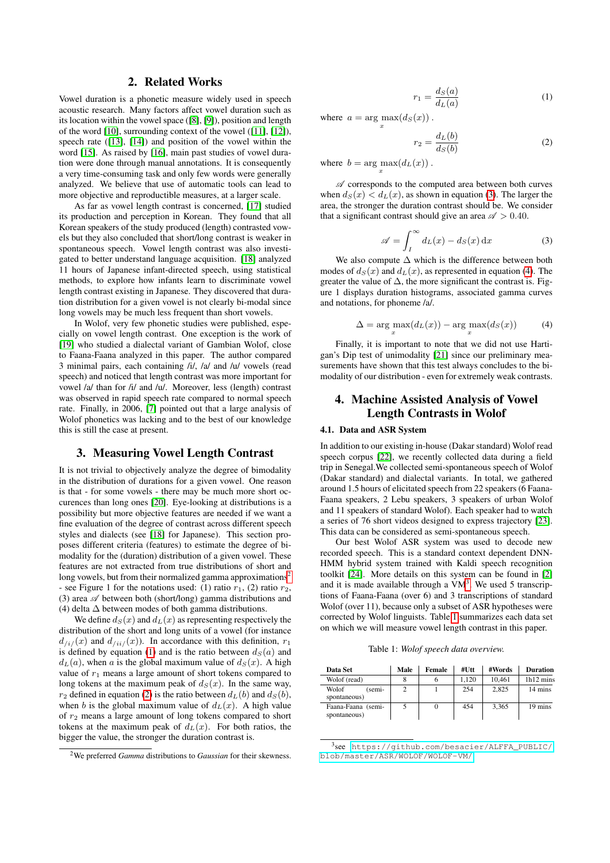# 2. Related Works

Vowel duration is a phonetic measure widely used in speech acoustic research. Many factors affect vowel duration such as its location within the vowel space ([\[8\]](#page-4-7), [\[9\]](#page-4-8)), position and length of the word [\[10\]](#page-4-9), surrounding context of the vowel ([\[11\]](#page-4-10), [\[12\]](#page-4-11)), speech rate ([\[13\]](#page-4-12), [\[14\]](#page-4-13)) and position of the vowel within the word [\[15\]](#page-4-14). As raised by [\[16\]](#page-4-15), main past studies of vowel duration were done through manual annotations. It is consequently a very time-consuming task and only few words were generally analyzed. We believe that use of automatic tools can lead to more objective and reproductible measures, at a larger scale.

As far as vowel length contrast is concerned, [\[17\]](#page-4-16) studied its production and perception in Korean. They found that all Korean speakers of the study produced (length) contrasted vowels but they also concluded that short/long contrast is weaker in spontaneous speech. Vowel length contrast was also investigated to better understand language acquisition. [\[18\]](#page-4-17) analyzed 11 hours of Japanese infant-directed speech, using statistical methods, to explore how infants learn to discriminate vowel length contrast existing in Japanese. They discovered that duration distribution for a given vowel is not clearly bi-modal since long vowels may be much less frequent than short vowels.

In Wolof, very few phonetic studies were published, especially on vowel length contrast. One exception is the work of [\[19\]](#page-4-18) who studied a dialectal variant of Gambian Wolof, close to Faana-Faana analyzed in this paper. The author compared 3 minimal pairs, each containing /i/, /a/ and /u/ vowels (read speech) and noticed that length contrast was more important for vowel /a/ than for /i/ and /u/. Moreover, less (length) contrast was observed in rapid speech rate compared to normal speech rate. Finally, in 2006, [\[7\]](#page-4-6) pointed out that a large analysis of Wolof phonetics was lacking and to the best of our knowledge this is still the case at present.

### <span id="page-1-7"></span>3. Measuring Vowel Length Contrast

It is not trivial to objectively analyze the degree of bimodality in the distribution of durations for a given vowel. One reason is that - for some vowels - there may be much more short occurences than long ones [\[20\]](#page-4-19). Eye-looking at distributions is a possibility but more objective features are needed if we want a fine evaluation of the degree of contrast across different speech styles and dialects (see [\[18\]](#page-4-17) for Japanese). This section proposes different criteria (features) to estimate the degree of bimodality for the (duration) distribution of a given vowel. These features are not extracted from true distributions of short and long vowels, but from their normalized gamma approximations<sup>[2](#page-1-0)</sup> - see Figure 1 for the notations used: (1) ratio  $r_1$ , (2) ratio  $r_2$ , (3) area  $\mathscr A$  between both (short/long) gamma distributions and (4) delta ∆ between modes of both gamma distributions.

We define  $d_S(x)$  and  $d_L(x)$  as representing respectively the distribution of the short and long units of a vowel (for instance  $d_{ii}(x)$  and  $d_{ii}(x)$ ). In accordance with this definition,  $r_1$ is defined by equation [\(1\)](#page-1-1) and is the ratio between  $d_S(a)$  and  $d<sub>L</sub>(a)$ , when a is the global maximum value of  $d<sub>S</sub>(x)$ . A high value of  $r_1$  means a large amount of short tokens compared to long tokens at the maximum peak of  $d_S(x)$ . In the same way,  $r_2$  defined in equation [\(2\)](#page-1-2) is the ratio between  $d_L(b)$  and  $d_S(b)$ , when b is the global maximum value of  $d<sub>L</sub>(x)$ . A high value of  $r_2$  means a large amount of long tokens compared to short tokens at the maximum peak of  $d<sub>L</sub>(x)$ . For both ratios, the bigger the value, the stronger the duration contrast is.

<span id="page-1-1"></span>
$$
r_1 = \frac{d_S(a)}{d_L(a)}\tag{1}
$$

where  $a = \arg \max_{x} (d_S(x))$ .

<span id="page-1-2"></span>
$$
r_2 = \frac{d_L(b)}{d_S(b)}\tag{2}
$$

where  $b = \arg \max_{x} (d_L(x))$ .

 $\mathscr A$  corresponds to the computed area between both curves when  $d_S(x) < d_L(x)$ , as shown in equation [\(3\)](#page-1-3). The larger the area, the stronger the duration contrast should be. We consider that a significant contrast should give an area  $\mathscr{A} > 0.40$ .

<span id="page-1-3"></span>
$$
\mathscr{A} = \int_{I}^{\infty} dL(x) - dS(x) \, \mathrm{d}x \tag{3}
$$

We also compute  $\Delta$  which is the difference between both modes of  $d_S(x)$  and  $d_L(x)$ , as represented in equation [\(4\)](#page-1-4). The greater the value of  $\Delta$ , the more significant the contrast is. Figure 1 displays duration histograms, associated gamma curves and notations, for phoneme /a/.

<span id="page-1-4"></span>
$$
\Delta = \arg \max_{x} (d_L(x)) - \arg \max_{x} (d_S(x))
$$
 (4)

Finally, it is important to note that we did not use Hartigan's Dip test of unimodality [\[21\]](#page-4-20) since our preliminary measurements have shown that this test always concludes to the bimodality of our distribution - even for extremely weak contrasts.

# 4. Machine Assisted Analysis of Vowel Length Contrasts in Wolof

#### 4.1. Data and ASR System

In addition to our existing in-house (Dakar standard) Wolof read speech corpus [\[22\]](#page-4-21), we recently collected data during a field trip in Senegal.We collected semi-spontaneous speech of Wolof (Dakar standard) and dialectal variants. In total, we gathered around 1.5 hours of elicitated speech from 22 speakers (6 Faana-Faana speakers, 2 Lebu speakers, 3 speakers of urban Wolof and 11 speakers of standard Wolof). Each speaker had to watch a series of 76 short videos designed to express trajectory [\[23\]](#page-4-22). This data can be considered as semi-spontaneous speech.

Our best Wolof ASR system was used to decode new recorded speech. This is a standard context dependent DNN-HMM hybrid system trained with Kaldi speech recognition toolkit [\[24\]](#page-4-23). More details on this system can be found in [\[2\]](#page-4-1) and it is made available through a  $VM<sup>3</sup>$  $VM<sup>3</sup>$  $VM<sup>3</sup>$ . We used 5 transcriptions of Faana-Faana (over 6) and 3 transcriptions of standard Wolof (over 11), because only a subset of ASR hypotheses were corrected by Wolof linguists. Table [1](#page-1-6) summarizes each data set on which we will measure vowel length contrast in this paper.

Table 1: *Wolof speech data overview.*

<span id="page-1-6"></span>

| Data Set                           | Male | Female | #Utt  | #Words | <b>Duration</b>     |
|------------------------------------|------|--------|-------|--------|---------------------|
| Wolof (read)                       |      |        | 1.120 | 10.461 | $1h12 \text{ mins}$ |
| Wolof<br>(semi-<br>spontaneous)    |      |        | 254   | 2,825  | 14 mins             |
| Faana-Faana (semi-<br>spontaneous) |      |        | 454   | 3,365  | 19 mins             |

<span id="page-1-5"></span><sup>3</sup> see [https://github.com/besacier/ALFFA\\_PUBLIC/](https://github.com/besacier/ALFFA_PUBLIC/blob/master/ASR/WOLOF/WOLOF-VM/) [blob/master/ASR/WOLOF/WOLOF-VM/](https://github.com/besacier/ALFFA_PUBLIC/blob/master/ASR/WOLOF/WOLOF-VM/)

<span id="page-1-0"></span><sup>2</sup>We preferred *Gamma* distributions to *Gaussian* for their skewness.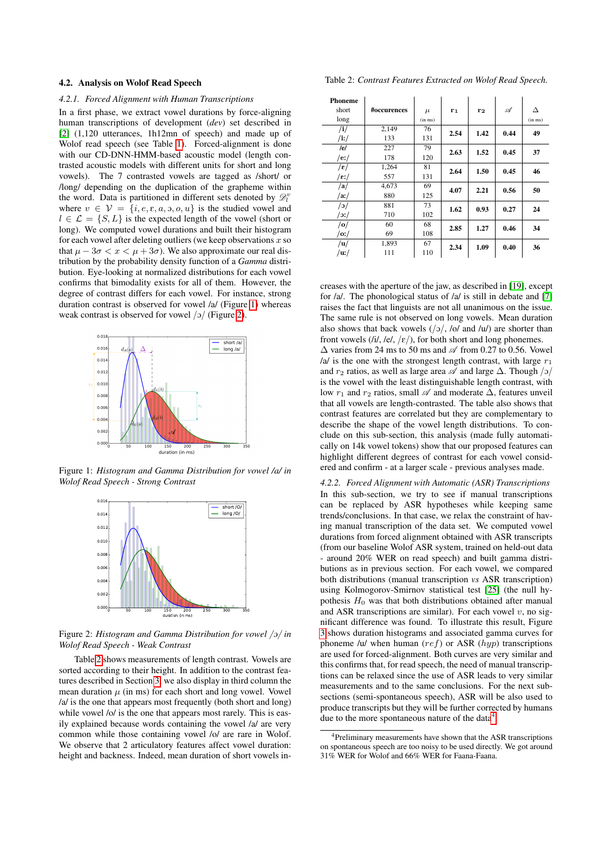#### 4.2. Analysis on Wolof Read Speech

#### *4.2.1. Forced Alignment with Human Transcriptions*

In a first phase, we extract vowel durations by force-aligning human transcriptions of development (*dev*) set described in [\[2\]](#page-4-1) (1,120 utterances, 1h12mn of speech) and made up of Wolof read speech (see Table [1\)](#page-1-6). Forced-alignment is done with our CD-DNN-HMM-based acoustic model (length contrasted acoustic models with different units for short and long vowels). The 7 contrasted vowels are tagged as /short/ or /long/ depending on the duplication of the grapheme within the word. Data is partitioned in different sets denoted by  $\mathscr{D}_l^v$ where  $v \in \mathcal{V} = \{i, e, \varepsilon, a, \varepsilon, o, u\}$  is the studied vowel and  $l \in \mathcal{L} = \{S, L\}$  is the expected length of the vowel (short or long). We computed vowel durations and built their histogram for each vowel after deleting outliers (we keep observations  $x$  so that  $\mu - 3\sigma < x < \mu + 3\sigma$ ). We also approximate our real distribution by the probability density function of a *Gamma* distribution. Eye-looking at normalized distributions for each vowel confirms that bimodality exists for all of them. However, the degree of contrast differs for each vowel. For instance, strong duration contrast is observed for vowel /a/ (Figure [1\)](#page-2-0) whereas weak contrast is observed for vowel  $/2/$  (Figure [2\)](#page-2-1).

<span id="page-2-0"></span>

<span id="page-2-1"></span>Figure 1: *Histogram and Gamma Distribution for vowel /a/ in Wolof Read Speech - Strong Contrast*



Figure 2: *Histogram and Gamma Distribution for vowel*  $/2$  *in Wolof Read Speech - Weak Contrast*

Table [2](#page-2-2) shows measurements of length contrast. Vowels are sorted according to their height. In addition to the contrast features described in Section [3,](#page-1-7) we also display in third column the mean duration  $\mu$  (in ms) for each short and long vowel. Vowel /a/ is the one that appears most frequently (both short and long) while vowel /o/ is the one that appears most rarely. This is easily explained because words containing the vowel /a/ are very common while those containing vowel /o/ are rare in Wolof. We observe that 2 articulatory features affect vowel duration: height and backness. Indeed, mean duration of short vowels in-

<span id="page-2-2"></span>Table 2: *Contrast Features Extracted on Wolof Read Speech.*

| <b>Phoneme</b><br>short<br>long | #occurences | $\mu$<br>(in ms) | r <sub>1</sub> | r <sub>2</sub> | ₫    | Δ<br>(in ms) |
|---------------------------------|-------------|------------------|----------------|----------------|------|--------------|
| /i/                             | 2,149       | 76               | 2.54           | 1.42           | 0.44 | 49           |
| $/$ iː/                         | 133         | 131              |                |                |      |              |
| /e/                             | 227         | 79               | 2.63           | 1.52           | 0.45 | 37           |
| /eː/                            | 178         | 120              |                |                |      |              |
| $\left \epsilon\right $         | 1,264       | 81               | 2.64           | 1.50           | 0.45 | 46           |
| /εː/                            | 557         | 131              |                |                |      |              |
| /a/                             | 4,673       | 69               | 4.07           | 2.21           | 0.56 | 50           |
| /aː/                            | 880         | 125              |                |                |      |              |
| $\sigma$                        | 881         | 73               | 1.62           | 0.93           | 0.27 | 24           |
| /ж/                             | 710         | 102              |                |                |      |              |
| / o/                            | 60          | 68               |                | 1.27           | 0.46 | 34           |
| /oː/                            | 69          | 108              | 2.85           |                |      |              |
| /u/                             | 1,893       | 67               | 2.34           | 1.09           | 0.40 | 36           |
| /uː/                            | 111         | 110              |                |                |      |              |

creases with the aperture of the jaw, as described in [\[19\]](#page-4-18), except for /a/. The phonological status of /a/ is still in debate and [\[7\]](#page-4-6) raises the fact that linguists are not all unanimous on the issue. The same rule is not observed on long vowels. Mean duration also shows that back vowels  $\frac{1}{2}$ ,  $\frac{1}{2}$  and  $\frac{1}{u}$  are shorter than front vowels  $(i*i*, *le*), *le*$ ), for both short and long phonemes.  $\Delta$  varies from 24 ms to 50 ms and  $\mathscr A$  from 0.27 to 0.56. Vowel /a/ is the one with the strongest length contrast, with large  $r_1$ and  $r_2$  ratios, as well as large area  $\mathscr A$  and large  $\Delta$ . Though  $/2$ is the vowel with the least distinguishable length contrast, with low  $r_1$  and  $r_2$  ratios, small  $\mathscr A$  and moderate  $\Delta$ , features unveil that all vowels are length-contrasted. The table also shows that contrast features are correlated but they are complementary to describe the shape of the vowel length distributions. To conclude on this sub-section, this analysis (made fully automatically on 14k vowel tokens) show that our proposed features can highlight different degrees of contrast for each vowel considered and confirm - at a larger scale - previous analyses made.

*4.2.2. Forced Alignment with Automatic (ASR) Transcriptions* In this sub-section, we try to see if manual transcriptions can be replaced by ASR hypotheses while keeping same trends/conclusions. In that case, we relax the constraint of having manual transcription of the data set. We computed vowel durations from forced alignment obtained with ASR transcripts (from our baseline Wolof ASR system, trained on held-out data - around 20% WER on read speech) and built gamma distributions as in previous section. For each vowel, we compared both distributions (manual transcription *vs* ASR transcription) using Kolmogorov-Smirnov statistical test [\[25\]](#page-4-24) (the null hypothesis  $H_0$  was that both distributions obtained after manual and ASR transcriptions are similar). For each vowel  $v$ , no significant difference was found. To illustrate this result, Figure [3](#page-3-0) shows duration histograms and associated gamma curves for phoneme /u/ when human  $(ref)$  or ASR  $(hyp)$  transcriptions are used for forced-alignment. Both curves are very similar and this confirms that, for read speech, the need of manual transcriptions can be relaxed since the use of ASR leads to very similar measurements and to the same conclusions. For the next subsections (semi-spontaneous speech), ASR will be also used to produce transcripts but they will be further corrected by humans due to the more spontaneous nature of the data $4$ .

<span id="page-2-3"></span><sup>4</sup>Preliminary measurements have shown that the ASR transcriptions on spontaneous speech are too noisy to be used directly. We got around 31% WER for Wolof and 66% WER for Faana-Faana.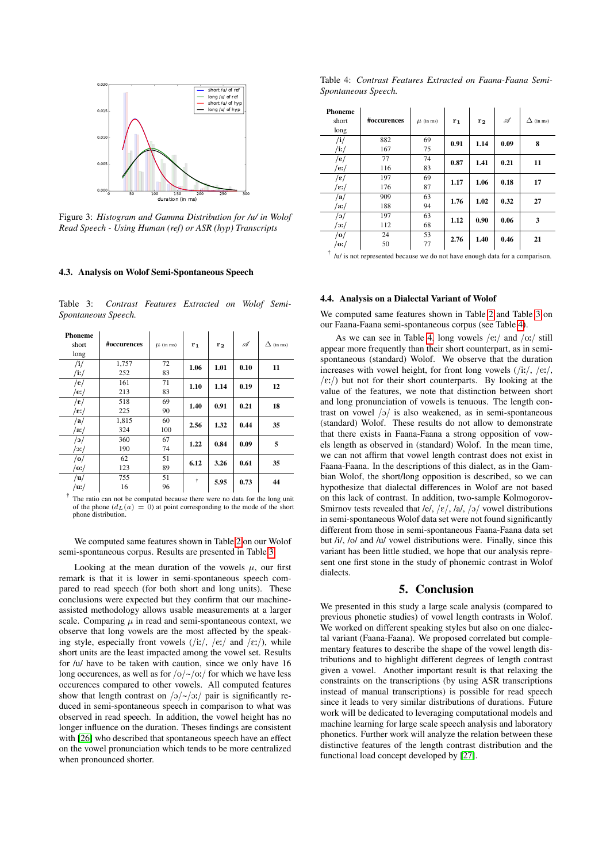<span id="page-3-0"></span>

Figure 3: *Histogram and Gamma Distribution for /u/ in Wolof Read Speech - Using Human (ref) or ASR (hyp) Transcripts*

#### 4.3. Analysis on Wolof Semi-Spontaneous Speech

<span id="page-3-1"></span>Table 3: *Contrast Features Extracted on Wolof Semi-Spontaneous Speech.*

| <b>Phoneme</b><br>short                                                             | #occurences | $\mu$ (in ms) | r <sub>1</sub> | r <sub>2</sub> | ₫    | $\Delta$ (in ms) |
|-------------------------------------------------------------------------------------|-------------|---------------|----------------|----------------|------|------------------|
| long                                                                                |             |               |                |                |      |                  |
| /i/                                                                                 | 1,757       | 72            | 1.06           | 1.01           | 0.10 | 11               |
| /iː/                                                                                | 252         | 83            |                |                |      |                  |
| /e/                                                                                 | 161         | 71            | 1.10           | 1.14           | 0.19 | 12               |
| /e:                                                                                 | 213         | 83            |                |                |      |                  |
| $\left \epsilon\right $                                                             | 518         | 69            | 1.40           | 0.91           | 0.21 | 18               |
| /ε:/                                                                                | 225         | 90            |                |                |      |                  |
| /a/                                                                                 | 1,815       | 60            | 2.56           | 1.32           | 0.44 | 35               |
| /aː/                                                                                | 324         | 100           |                |                |      |                  |
| $\sigma$                                                                            | 360         | 67            | 1.22           | 0.84           | 0.09 | 5                |
| c                                                                                   | 190         | 74            |                |                |      |                  |
| /0/                                                                                 | 62          | 51            | 6.12           | 3.26           | 0.61 | 35               |
| $/$ oː/                                                                             | 123         | 89            |                |                |      |                  |
| /u/                                                                                 | 755         | 51            | ÷              | 5.95           | 0.73 | 44               |
| $/$ u:/                                                                             | 16          | 96            |                |                |      |                  |
| ÷.<br>The notice can not be commuted becomes theme wears no date for the lang unit. |             |               |                |                |      |                  |

The ratio can not be computed because there were no data for the long unit of the phone  $(d_L(a) = 0)$  at point corresponding to the mode of the short phone distribution.

We computed same features shown in Table [2](#page-2-2) on our Wolof semi-spontaneous corpus. Results are presented in Table [3.](#page-3-1)

Looking at the mean duration of the vowels  $\mu$ , our first remark is that it is lower in semi-spontaneous speech compared to read speech (for both short and long units). These conclusions were expected but they confirm that our machineassisted methodology allows usable measurements at a larger scale. Comparing  $\mu$  in read and semi-spontaneous context, we observe that long vowels are the most affected by the speaking style, especially front vowels (/i:/, /e:/ and / $\varepsilon$ :/), while short units are the least impacted among the vowel set. Results for /u/ have to be taken with caution, since we only have 16 long occurences, as well as for  $\frac{1}{2}$  /o:/ for which we have less occurences compared to other vowels. All computed features show that length contrast on  $/2$ / $\frac{2}{x}$  pair is significantly reduced in semi-spontaneous speech in comparison to what was observed in read speech. In addition, the vowel height has no longer influence on the duration. Theses findings are consistent with [\[26\]](#page-4-25) who described that spontaneous speech have an effect on the vowel pronunciation which tends to be more centralized when pronounced shorter.

<span id="page-3-2"></span>Table 4: *Contrast Features Extracted on Faana-Faana Semi-Spontaneous Speech.*

| <b>Phoneme</b><br>short<br>long | #occurences | $\mu$ (in ms) | $r_1$ | r <sub>2</sub> | ₫    | $\Delta$ (in ms) |
|---------------------------------|-------------|---------------|-------|----------------|------|------------------|
| /i/                             | 882         | 69            | 0.91  | 1.14           | 0.09 | 8                |
| /iː/                            | 167         | 75            |       |                |      |                  |
| /e/                             | 77          | 74            | 0.87  | 1.41           | 0.21 | 11               |
| /eː/                            | 116         | 83            |       |                |      |                  |
| $\left \epsilon\right $         | 197         | 69            | 1.17  | 1.06           | 0.18 | 17               |
| $/$ e:/                         | 176         | 87            |       |                |      |                  |
| /a/                             | 909         | 63            | 1.76  | 1.02           | 0.32 | 27               |
| /aː/                            | 188         | 94            |       |                |      |                  |
| $\sigma$                        | 197         | 63            | 1.12  | 0.90           | 0.06 | 3                |
| /ж/                             | 112         | 68            |       |                |      |                  |
| /o/                             | 24          | 53            | 2.76  | 1.40           | 0.46 | 21               |
| $/$ o:/                         | 50          | 77            |       |                |      |                  |

† /u/ is not represented because we do not have enough data for a comparison.

#### 4.4. Analysis on a Dialectal Variant of Wolof

We computed same features shown in Table [2](#page-2-2) and Table [3](#page-3-1) on our Faana-Faana semi-spontaneous corpus (see Table [4\)](#page-3-2).

As we can see in Table [4,](#page-3-2) long vowels  $/e$ :/ and  $|o$ :/ still appear more frequently than their short counterpart, as in semispontaneous (standard) Wolof. We observe that the duration increases with vowel height, for front long vowels  $(i$ :/, /e:/,  $/\varepsilon$ :/) but not for their short counterparts. By looking at the value of the features, we note that distinction between short and long pronunciation of vowels is tenuous. The length contrast on vowel  $|o|$  is also weakened, as in semi-spontaneous (standard) Wolof. These results do not allow to demonstrate that there exists in Faana-Faana a strong opposition of vowels length as observed in (standard) Wolof. In the mean time, we can not affirm that vowel length contrast does not exist in Faana-Faana. In the descriptions of this dialect, as in the Gambian Wolof, the short/long opposition is described, so we can hypothesize that dialectal differences in Wolof are not based on this lack of contrast. In addition, two-sample Kolmogorov-Smirnov tests revealed that /e/, / $\varepsilon$ /, /a/, /o/ vowel distributions in semi-spontaneous Wolof data set were not found significantly different from those in semi-spontaneous Faana-Faana data set but /i/, /o/ and /u/ vowel distributions were. Finally, since this variant has been little studied, we hope that our analysis represent one first stone in the study of phonemic contrast in Wolof dialects.

# 5. Conclusion

We presented in this study a large scale analysis (compared to previous phonetic studies) of vowel length contrasts in Wolof. We worked on different speaking styles but also on one dialectal variant (Faana-Faana). We proposed correlated but complementary features to describe the shape of the vowel length distributions and to highlight different degrees of length contrast given a vowel. Another important result is that relaxing the constraints on the transcriptions (by using ASR transcriptions instead of manual transcriptions) is possible for read speech since it leads to very similar distributions of durations. Future work will be dedicated to leveraging computational models and machine learning for large scale speech analysis and laboratory phonetics. Further work will analyze the relation between these distinctive features of the length contrast distribution and the functional load concept developed by [\[27\]](#page-4-26).